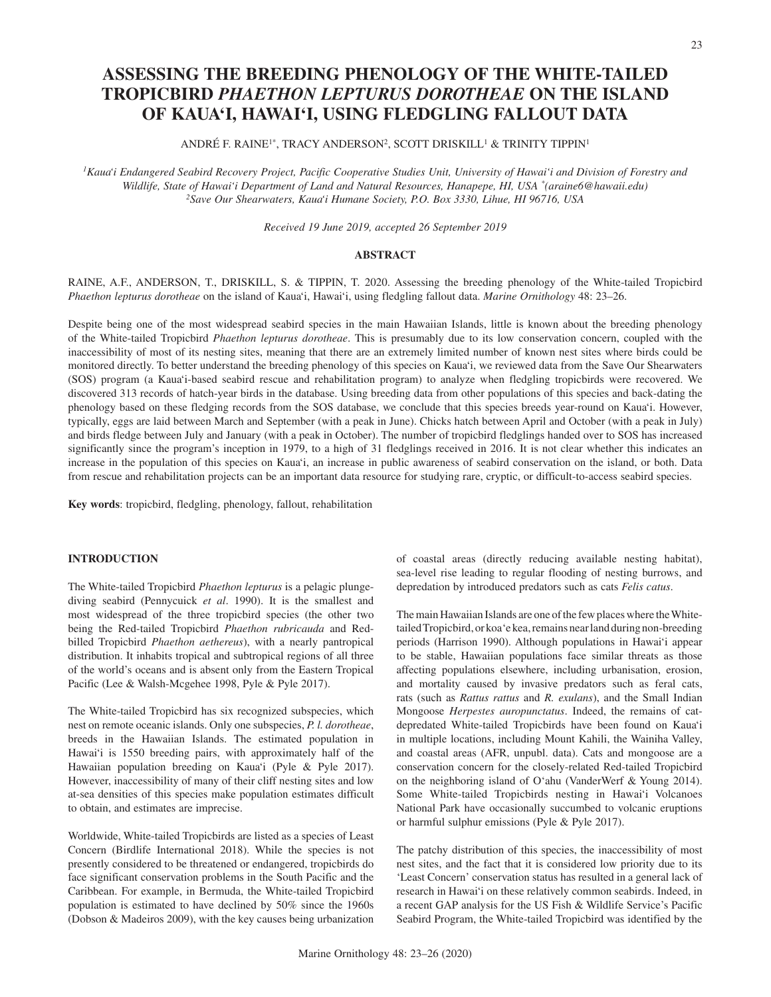# **ASSESSING THE BREEDING PHENOLOGY OF THE WHITE-TAILED TROPICBIRD** *PHAETHON LEPTURUS DOROTHEAE* **ON THE ISLAND OF KAUA'I, HAWAI'I, USING FLEDGLING FALLOUT DATA**

ANDRÉ F. RAINE<sup>1\*</sup>, TRACY ANDERSON<sup>2</sup>, SCOTT DRISKILL<sup>1</sup> & TRINITY TIPPIN<sup>1</sup>

<sup>1</sup> Kaua'i Endangered Seabird Recovery Project, Pacific Cooperative Studies Unit, University of Hawai'i and Division of Forestry and *Wildlife, State of Hawai'i Department of Land and Natural Resources, Hanapepe, HI, USA \*(araine6@hawaii.edu) 2Save Our Shearwaters, Kaua'i Humane Society, P.O. Box 3330, Lihue, HI 96716, USA*

*Received 19 June 2019, accepted 26 September 2019*

## **ABSTRACT**

RAINE, A.F., ANDERSON, T., DRISKILL, S. & TIPPIN, T. 2020. Assessing the breeding phenology of the White-tailed Tropicbird *Phaethon lepturus dorotheae* on the island of Kaua'i, Hawai'i, using fledgling fallout data. *Marine Ornithology* 48: 23–26.

Despite being one of the most widespread seabird species in the main Hawaiian Islands, little is known about the breeding phenology of the White-tailed Tropicbird *Phaethon lepturus dorotheae*. This is presumably due to its low conservation concern, coupled with the inaccessibility of most of its nesting sites, meaning that there are an extremely limited number of known nest sites where birds could be monitored directly. To better understand the breeding phenology of this species on Kaua'i, we reviewed data from the Save Our Shearwaters (SOS) program (a Kaua'i-based seabird rescue and rehabilitation program) to analyze when fledgling tropicbirds were recovered. We discovered 313 records of hatch-year birds in the database. Using breeding data from other populations of this species and back-dating the phenology based on these fledging records from the SOS database, we conclude that this species breeds year-round on Kaua'i. However, typically, eggs are laid between March and September (with a peak in June). Chicks hatch between April and October (with a peak in July) and birds fledge between July and January (with a peak in October). The number of tropicbird fledglings handed over to SOS has increased significantly since the program's inception in 1979, to a high of 31 fledglings received in 2016. It is not clear whether this indicates an increase in the population of this species on Kaua'i, an increase in public awareness of seabird conservation on the island, or both. Data from rescue and rehabilitation projects can be an important data resource for studying rare, cryptic, or difficult-to-access seabird species.

**Key words**: tropicbird, fledgling, phenology, fallout, rehabilitation

# **INTRODUCTION**

The White-tailed Tropicbird *Phaethon lepturus* is a pelagic plungediving seabird (Pennycuick *et al*. 1990). It is the smallest and most widespread of the three tropicbird species (the other two being the Red-tailed Tropicbird *Phaethon rubricauda* and Redbilled Tropicbird *Phaethon aethereus*), with a nearly pantropical distribution. It inhabits tropical and subtropical regions of all three of the world's oceans and is absent only from the Eastern Tropical Pacific (Lee & Walsh-Mcgehee 1998, Pyle & Pyle 2017).

The White-tailed Tropicbird has six recognized subspecies, which nest on remote oceanic islands. Only one subspecies, *P. l. dorotheae*, breeds in the Hawaiian Islands. The estimated population in Hawai'i is 1550 breeding pairs, with approximately half of the Hawaiian population breeding on Kaua'i (Pyle & Pyle 2017). However, inaccessibility of many of their cliff nesting sites and low at-sea densities of this species make population estimates difficult to obtain, and estimates are imprecise.

Worldwide, White-tailed Tropicbirds are listed as a species of Least Concern (Birdlife International 2018). While the species is not presently considered to be threatened or endangered, tropicbirds do face significant conservation problems in the South Pacific and the Caribbean. For example, in Bermuda, the White-tailed Tropicbird population is estimated to have declined by 50% since the 1960s (Dobson & Madeiros 2009), with the key causes being urbanization

of coastal areas (directly reducing available nesting habitat), sea-level rise leading to regular flooding of nesting burrows, and depredation by introduced predators such as cats *Felis catus*.

The main Hawaiian Islands are one of the few places where the Whitetailed Tropicbird, or koa'e kea, remains near land during non-breeding periods (Harrison 1990). Although populations in Hawai'i appear to be stable, Hawaiian populations face similar threats as those affecting populations elsewhere, including urbanisation, erosion, and mortality caused by invasive predators such as feral cats, rats (such as *Rattus rattus* and *R. exulans*), and the Small Indian Mongoose *Herpestes auropunctatus*. Indeed, the remains of catdepredated White-tailed Tropicbirds have been found on Kaua'i in multiple locations, including Mount Kahili, the Wainiha Valley, and coastal areas (AFR, unpubl. data). Cats and mongoose are a conservation concern for the closely-related Red-tailed Tropicbird on the neighboring island of O'ahu (VanderWerf & Young 2014). Some White-tailed Tropicbirds nesting in Hawai'i Volcanoes National Park have occasionally succumbed to volcanic eruptions or harmful sulphur emissions (Pyle & Pyle 2017).

The patchy distribution of this species, the inaccessibility of most nest sites, and the fact that it is considered low priority due to its 'Least Concern' conservation status has resulted in a general lack of research in Hawai'i on these relatively common seabirds. Indeed, in a recent GAP analysis for the US Fish & Wildlife Service's Pacific Seabird Program, the White-tailed Tropicbird was identified by the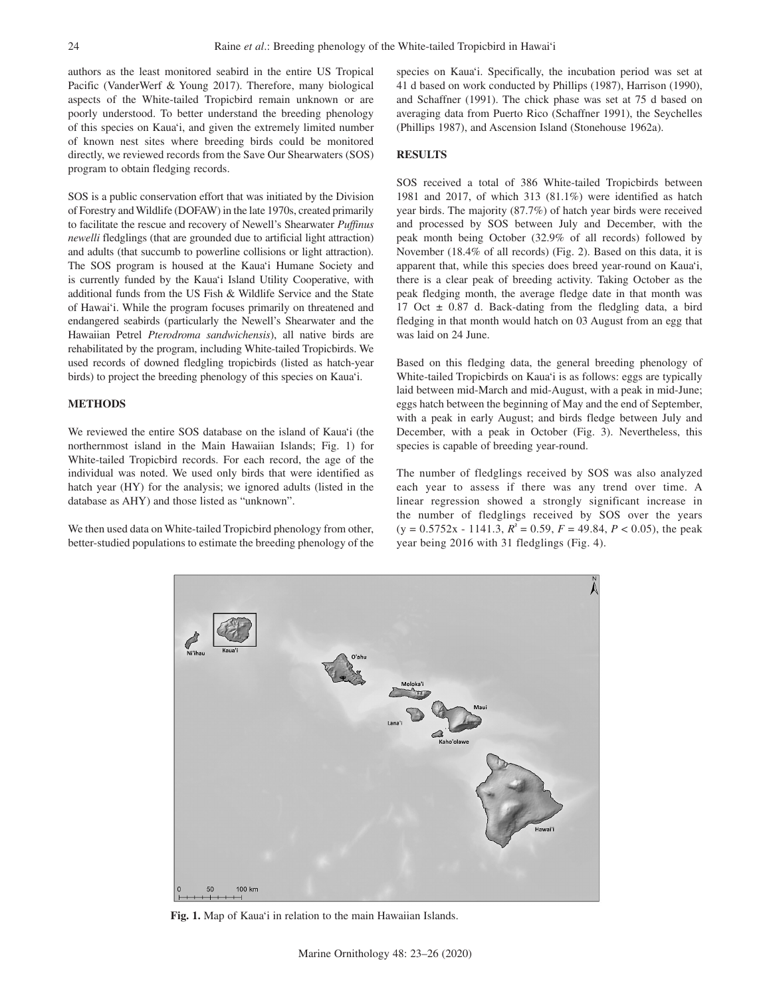authors as the least monitored seabird in the entire US Tropical Pacific (VanderWerf & Young 2017). Therefore, many biological aspects of the White-tailed Tropicbird remain unknown or are poorly understood. To better understand the breeding phenology of this species on Kaua'i, and given the extremely limited number of known nest sites where breeding birds could be monitored directly, we reviewed records from the Save Our Shearwaters (SOS) program to obtain fledging records.

SOS is a public conservation effort that was initiated by the Division of Forestry and Wildlife (DOFAW) in the late 1970s, created primarily to facilitate the rescue and recovery of Newell's Shearwater *Puffinus newelli* fledglings (that are grounded due to artificial light attraction) and adults (that succumb to powerline collisions or light attraction). The SOS program is housed at the Kaua'i Humane Society and is currently funded by the Kaua'i Island Utility Cooperative, with additional funds from the US Fish & Wildlife Service and the State of Hawai'i. While the program focuses primarily on threatened and endangered seabirds (particularly the Newell's Shearwater and the Hawaiian Petrel *Pterodroma sandwichensis*), all native birds are rehabilitated by the program, including White-tailed Tropicbirds. We used records of downed fledgling tropicbirds (listed as hatch-year birds) to project the breeding phenology of this species on Kaua'i.

# **METHODS**

We reviewed the entire SOS database on the island of Kaua'i (the northernmost island in the Main Hawaiian Islands; Fig. 1) for White-tailed Tropicbird records. For each record, the age of the individual was noted. We used only birds that were identified as hatch year (HY) for the analysis; we ignored adults (listed in the database as AHY) and those listed as "unknown".

We then used data on White-tailed Tropicbird phenology from other, better-studied populations to estimate the breeding phenology of the species on Kaua'i. Specifically, the incubation period was set at 41 d based on work conducted by Phillips (1987), Harrison (1990), and Schaffner (1991). The chick phase was set at 75 d based on averaging data from Puerto Rico (Schaffner 1991), the Seychelles (Phillips 1987), and Ascension Island (Stonehouse 1962a).

#### **RESULTS**

SOS received a total of 386 White-tailed Tropicbirds between 1981 and 2017, of which 313 (81.1%) were identified as hatch year birds. The majority (87.7%) of hatch year birds were received and processed by SOS between July and December, with the peak month being October (32.9% of all records) followed by November (18.4% of all records) (Fig. 2). Based on this data, it is apparent that, while this species does breed year-round on Kaua'i, there is a clear peak of breeding activity. Taking October as the peak fledging month, the average fledge date in that month was 17 Oct  $\pm$  0.87 d. Back-dating from the fledgling data, a bird fledging in that month would hatch on 03 August from an egg that was laid on 24 June.

Based on this fledging data, the general breeding phenology of White-tailed Tropicbirds on Kaua'i is as follows: eggs are typically laid between mid-March and mid-August, with a peak in mid-June; eggs hatch between the beginning of May and the end of September, with a peak in early August; and birds fledge between July and December, with a peak in October (Fig. 3). Nevertheless, this species is capable of breeding year-round.

The number of fledglings received by SOS was also analyzed each year to assess if there was any trend over time. A linear regression showed a strongly significant increase in the number of fledglings received by SOS over the years  $(y = 0.5752x - 1141.3, R^2 = 0.59, F = 49.84, P < 0.05$ , the peak year being 2016 with 31 fledglings (Fig. 4).



**Fig. 1.** Map of Kaua'i in relation to the main Hawaiian Islands.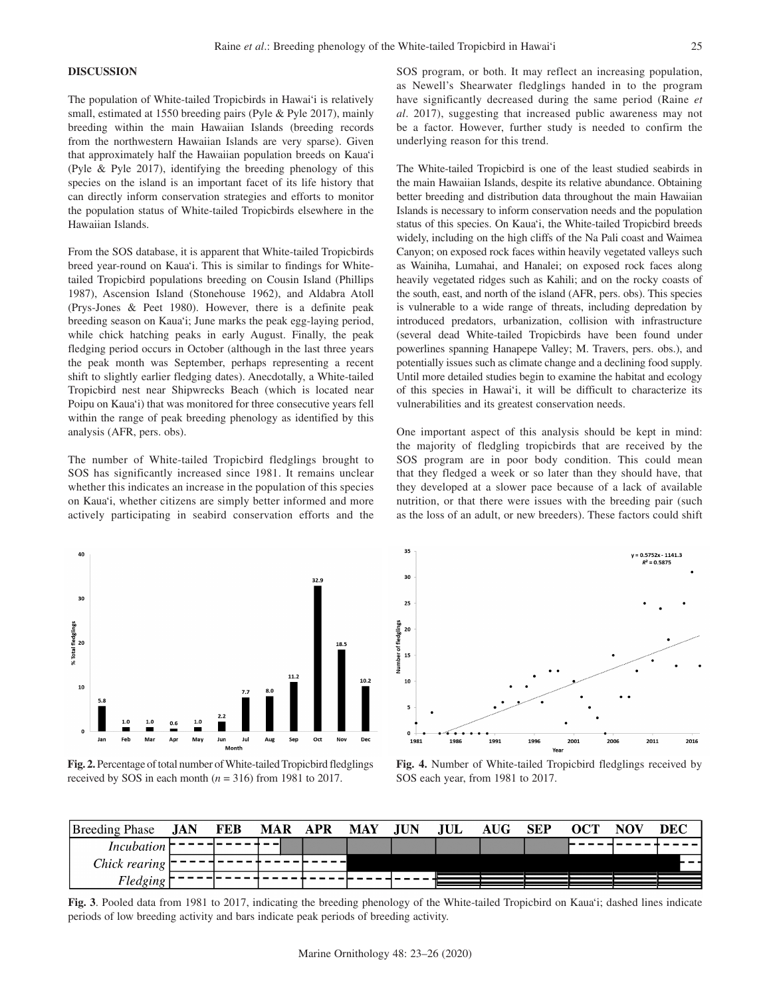### **DISCUSSION**

The population of White-tailed Tropicbirds in Hawai'i is relatively small, estimated at 1550 breeding pairs (Pyle & Pyle 2017), mainly breeding within the main Hawaiian Islands (breeding records from the northwestern Hawaiian Islands are very sparse). Given that approximately half the Hawaiian population breeds on Kaua'i (Pyle & Pyle 2017), identifying the breeding phenology of this species on the island is an important facet of its life history that can directly inform conservation strategies and efforts to monitor the population status of White-tailed Tropicbirds elsewhere in the Hawaiian Islands.

From the SOS database, it is apparent that White-tailed Tropicbirds breed year-round on Kaua'i. This is similar to findings for Whitetailed Tropicbird populations breeding on Cousin Island (Phillips 1987), Ascension Island (Stonehouse 1962), and Aldabra Atoll (Prys-Jones & Peet 1980). However, there is a definite peak breeding season on Kaua'i; June marks the peak egg-laying period, while chick hatching peaks in early August. Finally, the peak fledging period occurs in October (although in the last three years the peak month was September, perhaps representing a recent shift to slightly earlier fledging dates). Anecdotally, a White-tailed Tropicbird nest near Shipwrecks Beach (which is located near Poipu on Kaua'i) that was monitored for three consecutive years fell within the range of peak breeding phenology as identified by this analysis (AFR, pers. obs).

The number of White-tailed Tropicbird fledglings brought to SOS has significantly increased since 1981. It remains unclear whether this indicates an increase in the population of this species on Kaua'i, whether citizens are simply better informed and more actively participating in seabird conservation efforts and the SOS program, or both. It may reflect an increasing population, as Newell's Shearwater fledglings handed in to the program have significantly decreased during the same period (Raine *et al*. 2017), suggesting that increased public awareness may not be a factor. However, further study is needed to confirm the underlying reason for this trend.

The White-tailed Tropicbird is one of the least studied seabirds in the main Hawaiian Islands, despite its relative abundance. Obtaining better breeding and distribution data throughout the main Hawaiian Islands is necessary to inform conservation needs and the population status of this species. On Kaua'i, the White-tailed Tropicbird breeds widely, including on the high cliffs of the Na Pali coast and Waimea Canyon; on exposed rock faces within heavily vegetated valleys such as Wainiha, Lumahai, and Hanalei; on exposed rock faces along heavily vegetated ridges such as Kahili; and on the rocky coasts of the south, east, and north of the island (AFR, pers. obs). This species is vulnerable to a wide range of threats, including depredation by introduced predators, urbanization, collision with infrastructure (several dead White-tailed Tropicbirds have been found under powerlines spanning Hanapepe Valley; M. Travers, pers. obs.), and potentially issues such as climate change and a declining food supply. Until more detailed studies begin to examine the habitat and ecology of this species in Hawai'i, it will be difficult to characterize its vulnerabilities and its greatest conservation needs.

One important aspect of this analysis should be kept in mind: the majority of fledgling tropicbirds that are received by the SOS program are in poor body condition. This could mean that they fledged a week or so later than they should have, that they developed at a slower pace because of a lack of available nutrition, or that there were issues with the breeding pair (such as the loss of an adult, or new breeders). These factors could shift



**Fig. 2.** Percentage of total number of White-tailed Tropicbird fledglings received by SOS in each month  $(n = 316)$  from 1981 to 2017.



**Fig. 4.** Number of White-tailed Tropicbird fledglings received by SOS each year, from 1981 to 2017.

| <b>Breeding Phase</b> | JAN | <b>FEB</b> | <b>MAR</b> | APR | MAY | <b>JUN</b> | ЧUL | <b>AUG</b> | <b>SEP</b> | OCT | NOV | DEC    |
|-----------------------|-----|------------|------------|-----|-----|------------|-----|------------|------------|-----|-----|--------|
| Incubation            |     |            |            |     |     |            |     |            |            |     |     |        |
| Chick rearing         |     |            |            |     |     |            |     |            |            |     |     | $\sim$ |
| <sup>H</sup> ledging  |     |            |            |     |     |            |     |            |            |     |     |        |

**Fig. 3**. Pooled data from 1981 to 2017, indicating the breeding phenology of the White-tailed Tropicbird on Kaua'i; dashed lines indicate periods of low breeding activity and bars indicate peak periods of breeding activity.